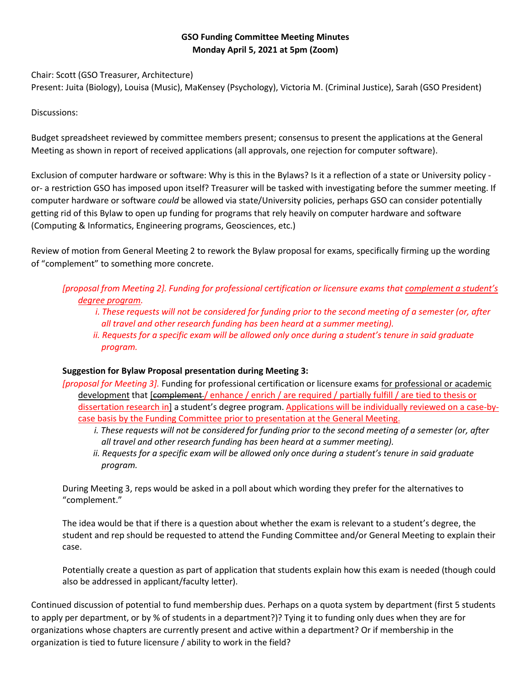# **GSO Funding Committee Meeting Minutes Monday April 5, 2021 at 5pm (Zoom)**

Chair: Scott (GSO Treasurer, Architecture)

Present: Juita (Biology), Louisa (Music), MaKensey (Psychology), Victoria M. (Criminal Justice), Sarah (GSO President)

## Discussions:

Budget spreadsheet reviewed by committee members present; consensus to present the applications at the General Meeting as shown in report of received applications (all approvals, one rejection for computer software).

Exclusion of computer hardware or software: Why is this in the Bylaws? Is it a reflection of a state or University policy or- a restriction GSO has imposed upon itself? Treasurer will be tasked with investigating before the summer meeting. If computer hardware or software *could* be allowed via state/University policies, perhaps GSO can consider potentially getting rid of this Bylaw to open up funding for programs that rely heavily on computer hardware and software (Computing & Informatics, Engineering programs, Geosciences, etc.)

Review of motion from General Meeting 2 to rework the Bylaw proposal for exams, specifically firming up the wording of "complement" to something more concrete.

# *[proposal from Meeting 2]. Funding for professional certification or licensure exams that complement a student's degree program.*

- *i. These requests will not be considered for funding prior to the second meeting of a semester (or, after all travel and other research funding has been heard at a summer meeting).*
- *ii. Requests for a specific exam will be allowed only once during a student's tenure in said graduate program.*

## **Suggestion for Bylaw Proposal presentation during Meeting 3:**

*[proposal for Meeting 3].* Funding for professional certification or licensure exams for professional or academic development that [complement / enhance / enrich / are required / partially fulfill / are tied to thesis or dissertation research in] a student's degree program. Applications will be individually reviewed on a case-bycase basis by the Funding Committee prior to presentation at the General Meeting.

- *i. These requests will not be considered for funding prior to the second meeting of a semester (or, after all travel and other research funding has been heard at a summer meeting).*
- *ii. Requests for a specific exam will be allowed only once during a student's tenure in said graduate program.*

During Meeting 3, reps would be asked in a poll about which wording they prefer for the alternatives to "complement."

The idea would be that if there is a question about whether the exam is relevant to a student's degree, the student and rep should be requested to attend the Funding Committee and/or General Meeting to explain their case.

Potentially create a question as part of application that students explain how this exam is needed (though could also be addressed in applicant/faculty letter).

Continued discussion of potential to fund membership dues. Perhaps on a quota system by department (first 5 students to apply per department, or by % of students in a department?)? Tying it to funding only dues when they are for organizations whose chapters are currently present and active within a department? Or if membership in the organization is tied to future licensure / ability to work in the field?